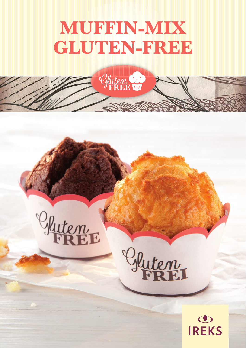# **MUFFIN-MIX GLUTEN-FREE**

Gluten Co

**College**